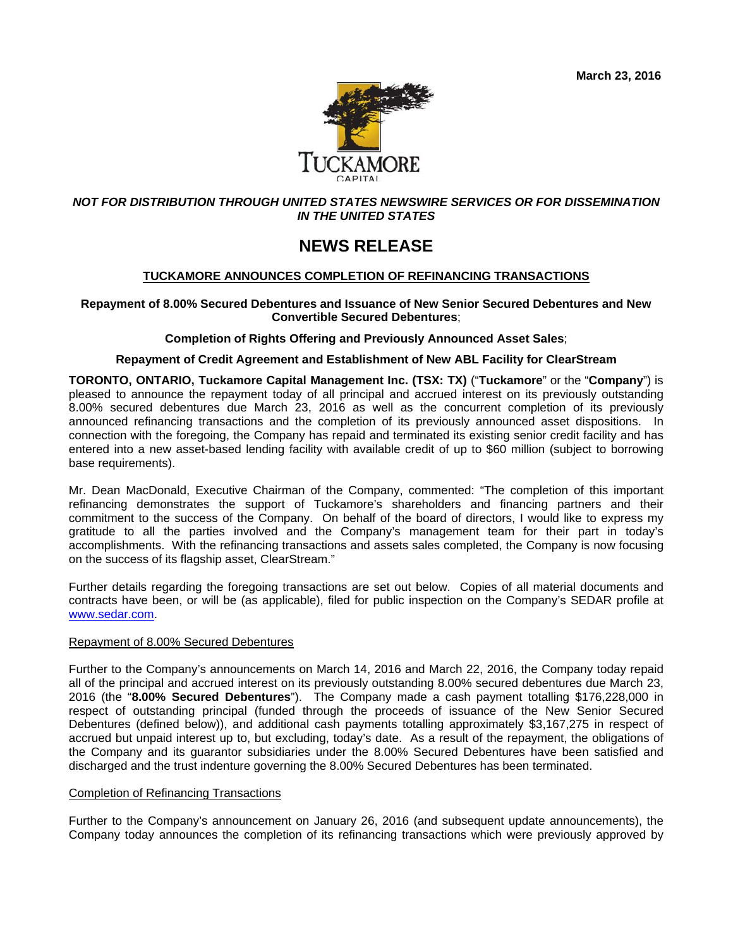

## *NOT FOR DISTRIBUTION THROUGH UNITED STATES NEWSWIRE SERVICES OR FOR DISSEMINATION IN THE UNITED STATES*

# **NEWS RELEASE**

## **TUCKAMORE ANNOUNCES COMPLETION OF REFINANCING TRANSACTIONS**

## **Repayment of 8.00% Secured Debentures and Issuance of New Senior Secured Debentures and New Convertible Secured Debentures**;

## **Completion of Rights Offering and Previously Announced Asset Sales**;

## **Repayment of Credit Agreement and Establishment of New ABL Facility for ClearStream**

**TORONTO, ONTARIO, Tuckamore Capital Management Inc. (TSX: TX)** ("**Tuckamore**" or the "**Company**") is pleased to announce the repayment today of all principal and accrued interest on its previously outstanding 8.00% secured debentures due March 23, 2016 as well as the concurrent completion of its previously announced refinancing transactions and the completion of its previously announced asset dispositions. In connection with the foregoing, the Company has repaid and terminated its existing senior credit facility and has entered into a new asset-based lending facility with available credit of up to \$60 million (subject to borrowing base requirements).

Mr. Dean MacDonald, Executive Chairman of the Company, commented: "The completion of this important refinancing demonstrates the support of Tuckamore's shareholders and financing partners and their commitment to the success of the Company. On behalf of the board of directors, I would like to express my gratitude to all the parties involved and the Company's management team for their part in today's accomplishments. With the refinancing transactions and assets sales completed, the Company is now focusing on the success of its flagship asset, ClearStream."

Further details regarding the foregoing transactions are set out below. Copies of all material documents and contracts have been, or will be (as applicable), filed for public inspection on the Company's SEDAR profile at www.sedar.com.

## Repayment of 8.00% Secured Debentures

Further to the Company's announcements on March 14, 2016 and March 22, 2016, the Company today repaid all of the principal and accrued interest on its previously outstanding 8.00% secured debentures due March 23, 2016 (the "**8.00% Secured Debentures**"). The Company made a cash payment totalling \$176,228,000 in respect of outstanding principal (funded through the proceeds of issuance of the New Senior Secured Debentures (defined below)), and additional cash payments totalling approximately \$3,167,275 in respect of accrued but unpaid interest up to, but excluding, today's date. As a result of the repayment, the obligations of the Company and its guarantor subsidiaries under the 8.00% Secured Debentures have been satisfied and discharged and the trust indenture governing the 8.00% Secured Debentures has been terminated.

#### Completion of Refinancing Transactions

Further to the Company's announcement on January 26, 2016 (and subsequent update announcements), the Company today announces the completion of its refinancing transactions which were previously approved by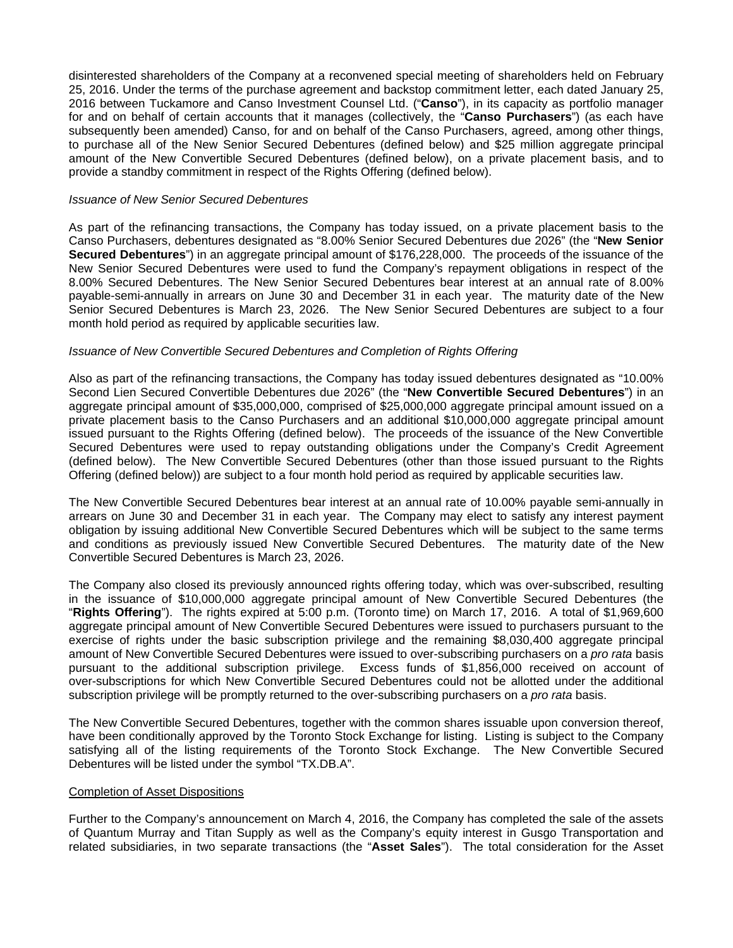disinterested shareholders of the Company at a reconvened special meeting of shareholders held on February 25, 2016. Under the terms of the purchase agreement and backstop commitment letter, each dated January 25, 2016 between Tuckamore and Canso Investment Counsel Ltd. ("**Canso**"), in its capacity as portfolio manager for and on behalf of certain accounts that it manages (collectively, the "**Canso Purchasers**") (as each have subsequently been amended) Canso, for and on behalf of the Canso Purchasers, agreed, among other things, to purchase all of the New Senior Secured Debentures (defined below) and \$25 million aggregate principal amount of the New Convertible Secured Debentures (defined below), on a private placement basis, and to provide a standby commitment in respect of the Rights Offering (defined below).

### *Issuance of New Senior Secured Debentures*

As part of the refinancing transactions, the Company has today issued, on a private placement basis to the Canso Purchasers, debentures designated as "8.00% Senior Secured Debentures due 2026" (the "**New Senior Secured Debentures**") in an aggregate principal amount of \$176,228,000. The proceeds of the issuance of the New Senior Secured Debentures were used to fund the Company's repayment obligations in respect of the 8.00% Secured Debentures. The New Senior Secured Debentures bear interest at an annual rate of 8.00% payable-semi-annually in arrears on June 30 and December 31 in each year. The maturity date of the New Senior Secured Debentures is March 23, 2026. The New Senior Secured Debentures are subject to a four month hold period as required by applicable securities law.

## *Issuance of New Convertible Secured Debentures and Completion of Rights Offering*

Also as part of the refinancing transactions, the Company has today issued debentures designated as "10.00% Second Lien Secured Convertible Debentures due 2026" (the "**New Convertible Secured Debentures**") in an aggregate principal amount of \$35,000,000, comprised of \$25,000,000 aggregate principal amount issued on a private placement basis to the Canso Purchasers and an additional \$10,000,000 aggregate principal amount issued pursuant to the Rights Offering (defined below). The proceeds of the issuance of the New Convertible Secured Debentures were used to repay outstanding obligations under the Company's Credit Agreement (defined below). The New Convertible Secured Debentures (other than those issued pursuant to the Rights Offering (defined below)) are subject to a four month hold period as required by applicable securities law.

The New Convertible Secured Debentures bear interest at an annual rate of 10.00% payable semi-annually in arrears on June 30 and December 31 in each year. The Company may elect to satisfy any interest payment obligation by issuing additional New Convertible Secured Debentures which will be subject to the same terms and conditions as previously issued New Convertible Secured Debentures. The maturity date of the New Convertible Secured Debentures is March 23, 2026.

The Company also closed its previously announced rights offering today, which was over-subscribed, resulting in the issuance of \$10,000,000 aggregate principal amount of New Convertible Secured Debentures (the "**Rights Offering**"). The rights expired at 5:00 p.m. (Toronto time) on March 17, 2016. A total of \$1,969,600 aggregate principal amount of New Convertible Secured Debentures were issued to purchasers pursuant to the exercise of rights under the basic subscription privilege and the remaining \$8,030,400 aggregate principal amount of New Convertible Secured Debentures were issued to over-subscribing purchasers on a *pro rata* basis pursuant to the additional subscription privilege. Excess funds of \$1,856,000 received on account of over-subscriptions for which New Convertible Secured Debentures could not be allotted under the additional subscription privilege will be promptly returned to the over-subscribing purchasers on a *pro rata* basis.

The New Convertible Secured Debentures, together with the common shares issuable upon conversion thereof, have been conditionally approved by the Toronto Stock Exchange for listing. Listing is subject to the Company satisfying all of the listing requirements of the Toronto Stock Exchange. The New Convertible Secured Debentures will be listed under the symbol "TX.DB.A".

#### Completion of Asset Dispositions

Further to the Company's announcement on March 4, 2016, the Company has completed the sale of the assets of Quantum Murray and Titan Supply as well as the Company's equity interest in Gusgo Transportation and related subsidiaries, in two separate transactions (the "**Asset Sales**"). The total consideration for the Asset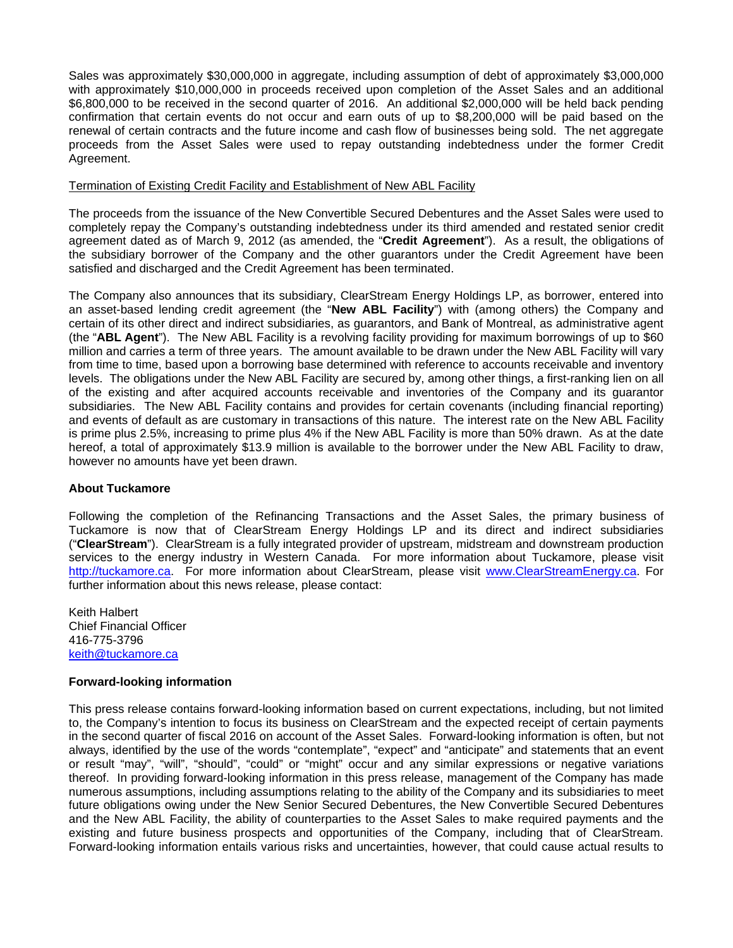Sales was approximately \$30,000,000 in aggregate, including assumption of debt of approximately \$3,000,000 with approximately \$10,000,000 in proceeds received upon completion of the Asset Sales and an additional \$6,800,000 to be received in the second quarter of 2016. An additional \$2,000,000 will be held back pending confirmation that certain events do not occur and earn outs of up to \$8,200,000 will be paid based on the renewal of certain contracts and the future income and cash flow of businesses being sold. The net aggregate proceeds from the Asset Sales were used to repay outstanding indebtedness under the former Credit Agreement.

#### Termination of Existing Credit Facility and Establishment of New ABL Facility

The proceeds from the issuance of the New Convertible Secured Debentures and the Asset Sales were used to completely repay the Company's outstanding indebtedness under its third amended and restated senior credit agreement dated as of March 9, 2012 (as amended, the "**Credit Agreement**"). As a result, the obligations of the subsidiary borrower of the Company and the other guarantors under the Credit Agreement have been satisfied and discharged and the Credit Agreement has been terminated.

The Company also announces that its subsidiary, ClearStream Energy Holdings LP, as borrower, entered into an asset-based lending credit agreement (the "**New ABL Facility**") with (among others) the Company and certain of its other direct and indirect subsidiaries, as guarantors, and Bank of Montreal, as administrative agent (the "**ABL Agent**"). The New ABL Facility is a revolving facility providing for maximum borrowings of up to \$60 million and carries a term of three years. The amount available to be drawn under the New ABL Facility will vary from time to time, based upon a borrowing base determined with reference to accounts receivable and inventory levels. The obligations under the New ABL Facility are secured by, among other things, a first-ranking lien on all of the existing and after acquired accounts receivable and inventories of the Company and its guarantor subsidiaries. The New ABL Facility contains and provides for certain covenants (including financial reporting) and events of default as are customary in transactions of this nature. The interest rate on the New ABL Facility is prime plus 2.5%, increasing to prime plus 4% if the New ABL Facility is more than 50% drawn. As at the date hereof, a total of approximately \$13.9 million is available to the borrower under the New ABL Facility to draw, however no amounts have yet been drawn.

## **About Tuckamore**

Following the completion of the Refinancing Transactions and the Asset Sales, the primary business of Tuckamore is now that of ClearStream Energy Holdings LP and its direct and indirect subsidiaries ("**ClearStream**"). ClearStream is a fully integrated provider of upstream, midstream and downstream production services to the energy industry in Western Canada. For more information about Tuckamore, please visit http://tuckamore.ca. For more information about ClearStream, please visit www.ClearStreamEnergy.ca. For further information about this news release, please contact:

Keith Halbert Chief Financial Officer 416-775-3796 keith@tuckamore.ca

## **Forward-looking information**

This press release contains forward-looking information based on current expectations, including, but not limited to, the Company's intention to focus its business on ClearStream and the expected receipt of certain payments in the second quarter of fiscal 2016 on account of the Asset Sales. Forward-looking information is often, but not always, identified by the use of the words "contemplate", "expect" and "anticipate" and statements that an event or result "may", "will", "should", "could" or "might" occur and any similar expressions or negative variations thereof. In providing forward-looking information in this press release, management of the Company has made numerous assumptions, including assumptions relating to the ability of the Company and its subsidiaries to meet future obligations owing under the New Senior Secured Debentures, the New Convertible Secured Debentures and the New ABL Facility, the ability of counterparties to the Asset Sales to make required payments and the existing and future business prospects and opportunities of the Company, including that of ClearStream. Forward-looking information entails various risks and uncertainties, however, that could cause actual results to